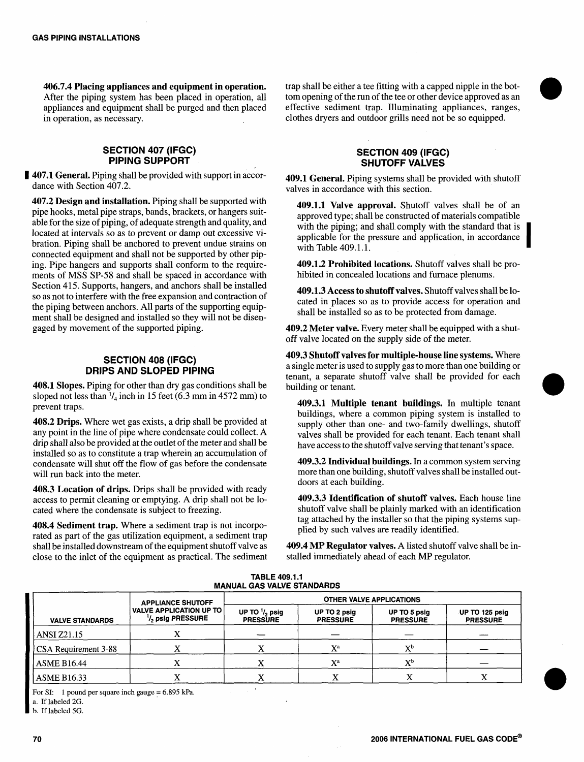406.7.4 Placing appliances and equipment in operation. After the piping system has been placed in operation, all appliances and equipment shall be purged and then placed in operation, as necessary.

#### SECTION 407 (IFGC) PIPING SUPPORT

**I** 407.1 General. Piping shall be provided with support in accordance with Section 407.2.

407.2 Design and installation. Piping shall be supported with pipe hooks, metal pipe straps, bands, brackets, or hangers suitable for the size of piping, of adequate strength and quality, and located at intervals so as to prevent or damp out excessive vibration. Piping shall be anchored to prevent undue strains on connected equipment and shall not be supported by other piping. Pipe hangers and supports shall conform to the requirements of MSS SP-58 and shall be spaced in accordance with Section 415. Supports, hangers, and anchors shall be installed so as not to interfere with the free expansion and contraction of the piping between anchors. All parts of the supporting equipment shall be designed and installed so they will not be disengaged by movement of the supported piping.

# SECTION 408 (IFGC) DRIPS AND SLOPED PIPING

408.1 Slopes. Piping for other than dry gas conditions shall be sloped not less than  $\frac{1}{4}$  inch in 15 feet (6.3 mm in 4572 mm) to prevent traps.

408.2 Drips. Where wet gas exists, a drip shall be provided at any point in the line of pipe where condensate could collect. A drip shall also be provided at the outlet of the meter and shall be installed so as to constitute a trap wherein an accumulation of condensate will shut off the flow of gas before the condensate will run back into the meter.

408.3 Location of drips. Drips shall be provided with ready access to permit cleaning or emptying. A drip shall not be located where the condensate is subject to freezing.

408.4 Sediment trap. Where a sediment trap is not incorporated as part of the gas utilization equipment, a sediment trap shall be installed downstream of the equipment shutoff valve as close to the inlet of the equipment as practical. The sediment

trap shall be either a tee fitting with a capped nipple in the bottom opening of the run of the tee or other device approved as an effective sediment trap. Illuminating appliances, ranges, clothes dryers and outdoor grills need not be so equipped.

### SECTION 409 (IFGC) SHUTOFF VALVES

409.1 General. Piping systems shall be provided with shutoff valves in accordance with this section.

409.1.1 Valve approval. Shutoff valves shall be of an approved type; shall be constructed of materials compatible with the piping; and shall comply with the standard that is applicable for the pressure and application, in accordance with Table 409.1.1.

409.1.2 Prohibited locations. Shutoff valves shall be prohibited in concealed locations and furnace plenums.

409.1.3 Access to shutoff valves. Shutoff valves shall be located in places so as to provide access for operation and shall be installed so as to be protected from damage.

409.2 Meter valve. Every meter shall be equipped with a shutoff valve located on the supply side of the meter.

409.3 Shutoff valves for multiple-house line systems. Where a single meteris used to supply gas to more than one building or tenant, a separate shutoff valve shall be provided for each \_ building or tenant.

409.3.1 Multiple tenant buildings. In multiple tenant buildings, where a common piping system is installed to supply other than one- and two-family dwellings, shutoff valves shall be provided for each tenant. Each tenant shall have access to the shutoff valve serving that tenant's space.

409.3.2 Individual buildings. In a common system serving more than one building, shutoff valves shall be installed outdoors at each building.

409.3.3 Identification of shutoff valves. Each house line shutoff valve shall be plainly marked with an identification tag attached by the installer so that the piping systems supplied by such valves are readily identified.

409.4 MP Regulator valves. A listed shutoff valve shall be installed immediately ahead of each MP regulator.

| <b>MANUAL GAS VALVE STANDARDS</b> |                                                                                                         |                                             |                                 |                                 |                                   |
|-----------------------------------|---------------------------------------------------------------------------------------------------------|---------------------------------------------|---------------------------------|---------------------------------|-----------------------------------|
| <b>VALVE STANDARDS</b>            | <b>APPLIANCE SHUTOFF</b><br><b>VALVE APPLICATION UP TO</b><br><sup>1</sup> / <sub>2</sub> psig PRESSURE | <b>OTHER VALVE APPLICATIONS</b>             |                                 |                                 |                                   |
|                                   |                                                                                                         | UP TO $\frac{1}{2}$ psig<br><b>PRESSURE</b> | UP TO 2 psig<br><b>PRESSURE</b> | UP TO 5 psig<br><b>PRESSURE</b> | UP TO 125 psig<br><b>PRESSURE</b> |
| <b>ANSI Z21.15</b>                |                                                                                                         |                                             |                                 |                                 |                                   |
| CSA Requirement 3-88              |                                                                                                         |                                             | X <sup>a</sup>                  | $\mathbf{X}^{\mathbf{b}}$       |                                   |
| <b>ASME B16.44</b>                |                                                                                                         |                                             | $X^a$                           | $\mathbf{v}^{\text{b}}$         |                                   |
| ASME B16.33                       |                                                                                                         |                                             |                                 | ́́                              |                                   |

# TABLE 409.1.1

For SI: 1 pound per square inch gauge = 6.895 kPa.

a. Iflabeled 2G.

b. If labeled 5G.